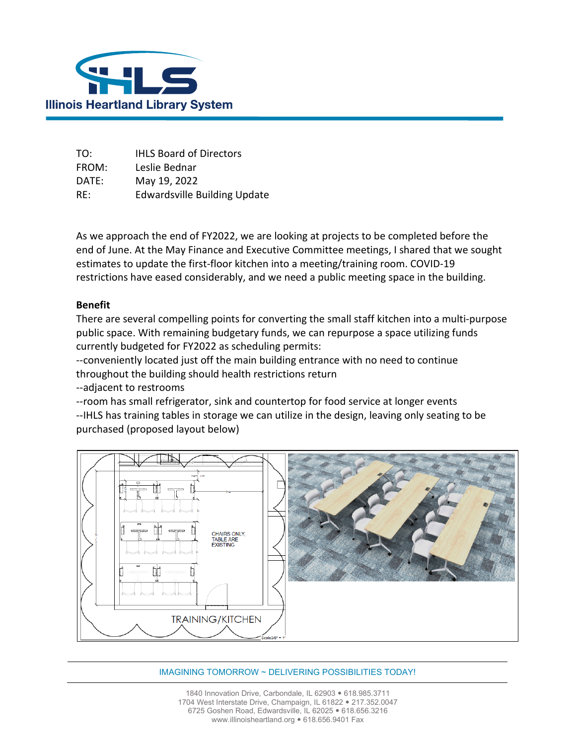

| TO:   | <b>IHLS Board of Directors</b>      |
|-------|-------------------------------------|
| FROM: | Leslie Bednar                       |
| DATE: | May 19, 2022                        |
| RE:   | <b>Edwardsville Building Update</b> |

As we approach the end of FY2022, we are looking at projects to be completed before the end of June. At the May Finance and Executive Committee meetings, I shared that we sought estimates to update the first-floor kitchen into a meeting/training room. COVID-19 restrictions have eased considerably, and we need a public meeting space in the building.

## **Benefit**

There are several compelling points for converting the small staff kitchen into a multi-purpose public space. With remaining budgetary funds, we can repurpose a space utilizing funds currently budgeted for FY2022 as scheduling permits:

--conveniently located just off the main building entrance with no need to continue throughout the building should health restrictions return

--adjacent to restrooms

--room has small refrigerator, sink and countertop for food service at longer events --IHLS has training tables in storage we can utilize in the design, leaving only seating to be purchased (proposed layout below)



## IMAGINING TOMORROW ~ DELIVERING POSSIBILITIES TODAY!